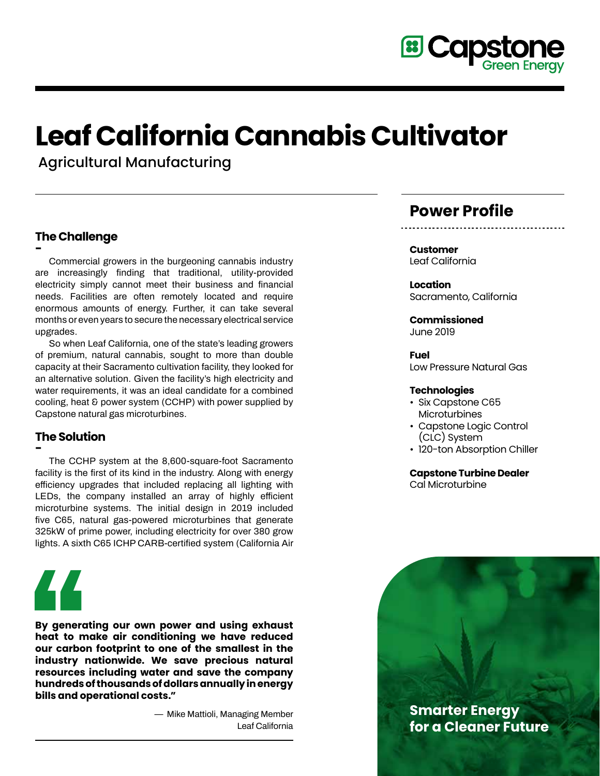

# **Leaf California Cannabis Cultivator**

Agricultural Manufacturing

#### **The Challenge**

**- Commercial growers in the burgeoning cannabis industry are increasingly finding that traditional, utility-provided electricity simply cannot meet their business and financial needs. Facilities are often remotely located and require enormous amounts of energy. Further, it can take several months or even years to secure the necessary electrical service upgrades.** 

**So when Leaf California, one of the state's leading growers of premium, natural cannabis, sought to more than double capacity at their Sacramento cultivation facility, they looked for an alternative solution. Given the facility's high electricity and water requirements, it was an ideal candidate for a combined cooling, heat & power system (CCHP) with power supplied by Capstone natural gas microturbines.**

### **The Solution**

**- The CCHP system at the 8,600-square-foot Sacramento facility is the first of its kind in the industry. Along with energy efficiency upgrades that included replacing all lighting with LEDs, the company installed an array of highly efficient microturbine systems. The initial design in 2019 included five C65, natural gas-powered microturbines that generate 325kW of prime power, including electricity for over 380 grow lights. A sixth C65 ICHP CARB-certified system (California Air** 



**By generating our own power and using exhaust heat to make air conditioning we have reduced our carbon footprint to one of the smallest in the industry nationwide. We save precious natural resources including water and save the company hundreds of thousands of dollars annually in energy bills and operational costs."**

> **— Mike Mattioli, Managing Member Leaf California**

## **Power Profile**

**Customer** Leaf California

**Location** Sacramento, California

**Commissioned** June 2019

**Fuel** Low Pressure Natural Gas

#### **Technologies**

- Six Capstone C65 **Microturbines**
- Capstone Logic Control (CLC) System
- 120-ton Absorption Chiller

#### **Capstone Turbine Dealer**

Cal Microturbine

**Smarter Energy for a Cleaner Future**